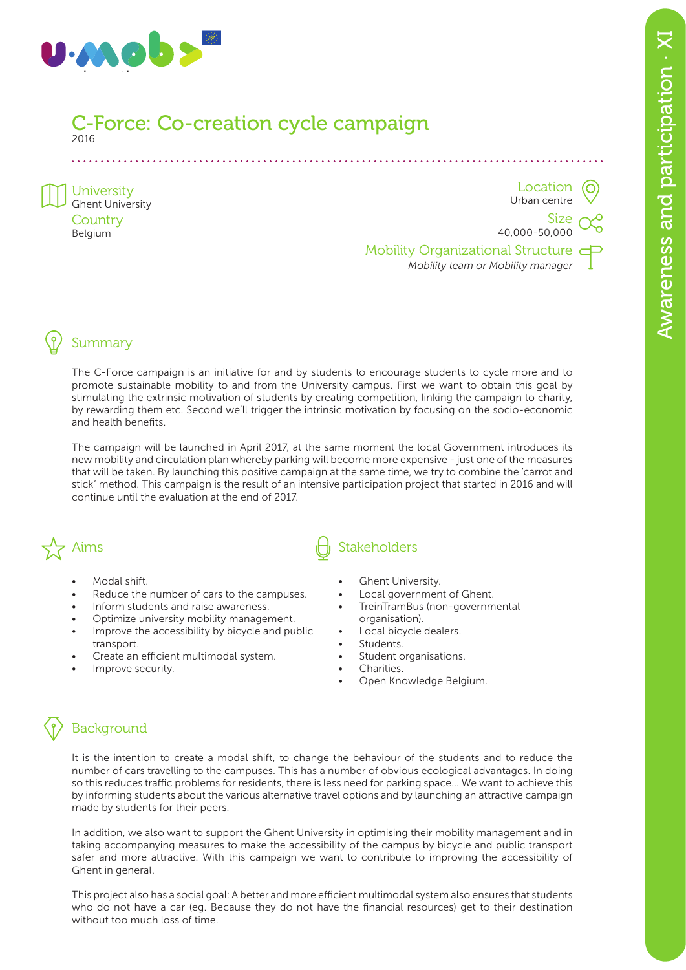

#### C-Force: Co-creation cycle campaign 2016

University Ghent University **Country** Belgium

Location Urban centre

Size 40,000-50,000

Mobility Organizational Structure *Mobility team or Mobility manager*

# Summary

The C-Force campaign is an initiative for and by students to encourage students to cycle more and to promote sustainable mobility to and from the University campus. First we want to obtain this goal by stimulating the extrinsic motivation of students by creating competition, linking the campaign to charity, by rewarding them etc. Second we'll trigger the intrinsic motivation by focusing on the socio-economic and health benefits.

The campaign will be launched in April 2017, at the same moment the local Government introduces its new mobility and circulation plan whereby parking will become more expensive - just one of the measures that will be taken. By launching this positive campaign at the same time, we try to combine the 'carrot and stick' method. This campaign is the result of an intensive participation project that started in 2016 and will continue until the evaluation at the end of 2017.



- Modal shift.
- Reduce the number of cars to the campuses.
- Inform students and raise awareness.
- Optimize university mobility management.
- Improve the accessibility by bicycle and public transport.
- Create an efficient multimodal system.
- Improve security.

# $\sum_{k=1}^{N}$  Aims

- **Ghent University.**
- Local government of Ghent.
- TreinTramBus (non-governmental organisation).
- Local bicycle dealers.
- Students.
- Student organisations.
- Charities.
- Open Knowledge Belgium.

# **Background**

It is the intention to create a modal shift, to change the behaviour of the students and to reduce the number of cars travelling to the campuses. This has a number of obvious ecological advantages. In doing so this reduces traffic problems for residents, there is less need for parking space... We want to achieve this by informing students about the various alternative travel options and by launching an attractive campaign made by students for their peers.

In addition, we also want to support the Ghent University in optimising their mobility management and in taking accompanying measures to make the accessibility of the campus by bicycle and public transport safer and more attractive. With this campaign we want to contribute to improving the accessibility of Ghent in general.

This project also has a social goal: A better and more efficient multimodal system also ensures that students who do not have a car (eg. Because they do not have the financial resources) get to their destination without too much loss of time.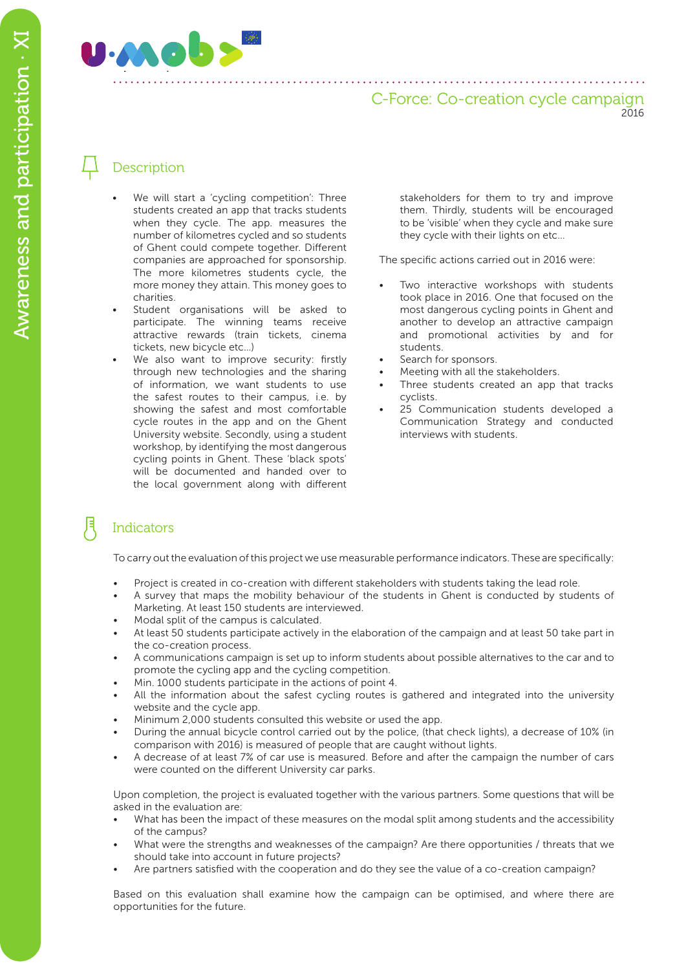

## C-Force: Co-creation cycle campaign 2016

# **Description**

- We will start a 'cycling competition': Three students created an app that tracks students when they cycle. The app. measures the number of kilometres cycled and so students of Ghent could compete together. Different companies are approached for sponsorship. The more kilometres students cycle, the more money they attain. This money goes to charities.
- Student organisations will be asked to participate. The winning teams receive attractive rewards (train tickets, cinema tickets, new bicycle etc…)
- We also want to improve security: firstly through new technologies and the sharing of information, we want students to use the safest routes to their campus, i.e. by showing the safest and most comfortable cycle routes in the app and on the Ghent University website. Secondly, using a student workshop, by identifying the most dangerous cycling points in Ghent. These 'black spots' will be documented and handed over to the local government along with different

stakeholders for them to try and improve them. Thirdly, students will be encouraged to be 'visible' when they cycle and make sure they cycle with their lights on etc…

The specific actions carried out in 2016 were:

- Two interactive workshops with students took place in 2016. One that focused on the most dangerous cycling points in Ghent and another to develop an attractive campaign and promotional activities by and for students.
- Search for sponsors.
- Meeting with all the stakeholders.
- Three students created an app that tracks cyclists.
- 25 Communication students developed a Communication Strategy and conducted interviews with students.

# **Indicators**

To carry out the evaluation of this project we use measurable performance indicators. These are specifically:

- Project is created in co-creation with different stakeholders with students taking the lead role.
- A survey that maps the mobility behaviour of the students in Ghent is conducted by students of Marketing. At least 150 students are interviewed.
- Modal split of the campus is calculated.
- At least 50 students participate actively in the elaboration of the campaign and at least 50 take part in the co-creation process.
- A communications campaign is set up to inform students about possible alternatives to the car and to promote the cycling app and the cycling competition.
- Min. 1000 students participate in the actions of point 4.
- All the information about the safest cycling routes is gathered and integrated into the university website and the cycle app.
- Minimum 2,000 students consulted this website or used the app.
- During the annual bicycle control carried out by the police, (that check lights), a decrease of 10% (in comparison with 2016) is measured of people that are caught without lights.
- A decrease of at least 7% of car use is measured. Before and after the campaign the number of cars were counted on the different University car parks.

Upon completion, the project is evaluated together with the various partners. Some questions that will be asked in the evaluation are:

- What has been the impact of these measures on the modal split among students and the accessibility of the campus?
- What were the strengths and weaknesses of the campaign? Are there opportunities / threats that we should take into account in future projects?
- Are partners satisfied with the cooperation and do they see the value of a co-creation campaign?

Based on this evaluation shall examine how the campaign can be optimised, and where there are opportunities for the future.